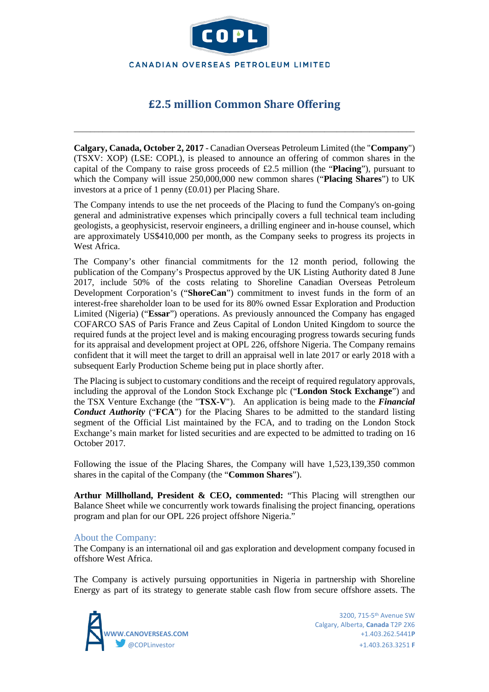

# **£2.5 million Common Share Offering**

\_\_\_\_\_\_\_\_\_\_\_\_\_\_\_\_\_\_\_\_\_\_\_\_\_\_\_\_\_\_\_\_\_\_\_\_\_\_\_\_\_\_\_\_\_\_\_\_\_\_\_\_\_\_\_\_\_\_\_\_\_\_\_\_\_\_\_\_\_\_\_\_\_\_\_\_\_\_\_\_\_\_\_

**Calgary, Canada, October 2, 2017** - Canadian Overseas Petroleum Limited (the "**Company**") (TSXV: XOP) (LSE: COPL), is pleased to announce an offering of common shares in the capital of the Company to raise gross proceeds of £2.5 million (the "**Placing**"), pursuant to which the Company will issue 250,000,000 new common shares ("**Placing Shares**") to UK investors at a price of 1 penny (£0.01) per Placing Share.

The Company intends to use the net proceeds of the Placing to fund the Company's on-going general and administrative expenses which principally covers a full technical team including geologists, a geophysicist, reservoir engineers, a drilling engineer and in-house counsel, which are approximately US\$410,000 per month, as the Company seeks to progress its projects in West Africa.

The Company's other financial commitments for the 12 month period, following the publication of the Company's Prospectus approved by the UK Listing Authority dated 8 June 2017, include 50% of the costs relating to Shoreline Canadian Overseas Petroleum Development Corporation's ("**ShoreCan**") commitment to invest funds in the form of an interest-free shareholder loan to be used for its 80% owned Essar Exploration and Production Limited (Nigeria) ("**Essar**") operations. As previously announced the Company has engaged COFARCO SAS of Paris France and Zeus Capital of London United Kingdom to source the required funds at the project level and is making encouraging progress towards securing funds for its appraisal and development project at OPL 226, offshore Nigeria. The Company remains confident that it will meet the target to drill an appraisal well in late 2017 or early 2018 with a subsequent Early Production Scheme being put in place shortly after.

The Placing is subject to customary conditions and the receipt of required regulatory approvals, including the approval of the London Stock Exchange plc ("**London Stock Exchange**") and the TSX Venture Exchange (the "**TSX-V**"). An application is being made to the *Financial Conduct Authority* ("**FCA**") for the Placing Shares to be admitted to the standard listing segment of the Official List maintained by the FCA, and to trading on the London Stock Exchange's main market for listed securities and are expected to be admitted to trading on 16 October 2017.

Following the issue of the Placing Shares, the Company will have 1,523,139,350 common shares in the capital of the Company (the "**Common Shares**").

**Arthur Millholland, President & CEO, commented:** "This Placing will strengthen our Balance Sheet while we concurrently work towards finalising the project financing, operations program and plan for our OPL 226 project offshore Nigeria."

## About the Company:

The Company is an international oil and gas exploration and development company focused in offshore West Africa.

The Company is actively pursuing opportunities in Nigeria in partnership with Shoreline Energy as part of its strategy to generate stable cash flow from secure offshore assets. The



 3200, 715-5th Avenue SW Calgary, Alberta, **Canada** T2P 2X6 **WWW.CANOVERSEAS.COM** +1.403.262.5441**P** @COPLinvestor +1.403.263.3251 **F**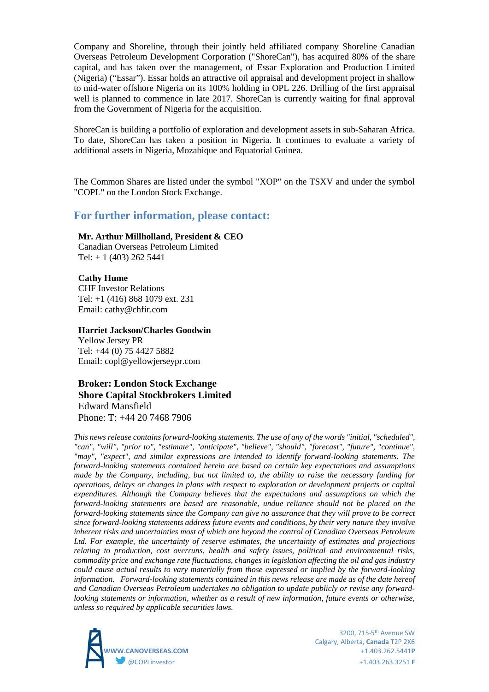Company and Shoreline, through their jointly held affiliated company Shoreline Canadian Overseas Petroleum Development Corporation ("ShoreCan"), has acquired 80% of the share capital, and has taken over the management, of Essar Exploration and Production Limited (Nigeria) ("Essar"). Essar holds an attractive oil appraisal and development project in shallow to mid-water offshore Nigeria on its 100% holding in OPL 226. Drilling of the first appraisal well is planned to commence in late 2017. ShoreCan is currently waiting for final approval from the Government of Nigeria for the acquisition.

ShoreCan is building a portfolio of exploration and development assets in sub-Saharan Africa. To date, ShoreCan has taken a position in Nigeria. It continues to evaluate a variety of additional assets in Nigeria, Mozabique and Equatorial Guinea.

The Common Shares are listed under the symbol "XOP" on the TSXV and under the symbol "COPL" on the London Stock Exchange.

# **For further information, please contact:**

#### **Mr. Arthur Millholland, President & CEO**

Canadian Overseas Petroleum Limited Tel:  $+ 1 (403) 262 5441$ 

#### **Cathy Hume**

CHF Investor Relations Tel: +1 (416) 868 1079 ext. 231 Email: cathy@chfir.com

### **Harriet Jackson/Charles Goodwin**

Yellow Jersey PR Tel: +44 (0) 75 4427 5882 Email: copl@yellowjerseypr.com

## **Broker: London Stock Exchange Shore Capital Stockbrokers Limited** Edward Mansfield Phone: T: +44 20 7468 7906

*This news release contains forward-looking statements. The use of any of the words "initial, "scheduled", "can", "will", "prior to", "estimate", "anticipate", "believe", "should", "forecast", "future", "continue", "may", "expect", and similar expressions are intended to identify forward-looking statements. The forward-looking statements contained herein are based on certain key expectations and assumptions made by the Company, including, but not limited to, the ability to raise the necessary funding for operations, delays or changes in plans with respect to exploration or development projects or capital expenditures. Although the Company believes that the expectations and assumptions on which the forward-looking statements are based are reasonable, undue reliance should not be placed on the forward-looking statements since the Company can give no assurance that they will prove to be correct since forward-looking statements address future events and conditions, by their very nature they involve inherent risks and uncertainties most of which are beyond the control of Canadian Overseas Petroleum Ltd. For example, the uncertainty of reserve estimates, the uncertainty of estimates and projections relating to production, cost overruns, health and safety issues, political and environmental risks, commodity price and exchange rate fluctuations, changes in legislation affecting the oil and gas industry could cause actual results to vary materially from those expressed or implied by the forward-looking information. Forward-looking statements contained in this news release are made as of the date hereof and Canadian Overseas Petroleum undertakes no obligation to update publicly or revise any forwardlooking statements or information, whether as a result of new information, future events or otherwise, unless so required by applicable securities laws.* 



 3200, 715-5th Avenue SW Calgary, Alberta, **Canada** T2P 2X6 **WWW.CANOVERSEAS.COM** +1.403.262.5441**P** @COPLinvestor +1.403.263.3251 **F**